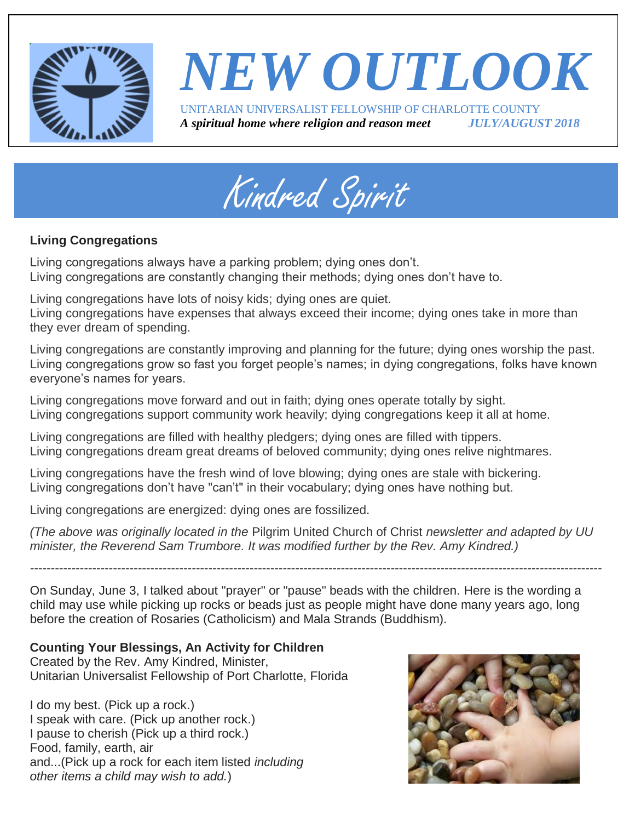

### *NEW OUTLOOK* UNITARIAN UNIVERSALIST FELLOWSHIP OF CHARLOTTE COUNTY *A spiritual home where religion and reason meet JULY/AUGUST 2018*



#### **Living Congregations**

Living congregations always have a parking problem; dying ones don't. Living congregations are constantly changing their methods; dying ones don't have to.

Living congregations have lots of noisy kids; dying ones are quiet.

Living congregations have expenses that always exceed their income; dying ones take in more than they ever dream of spending.

Living congregations are constantly improving and planning for the future; dying ones worship the past. Living congregations grow so fast you forget people's names; in dying congregations, folks have known everyone's names for years.

Living congregations move forward and out in faith; dying ones operate totally by sight. Living congregations support community work heavily; dying congregations keep it all at home.

Living congregations are filled with healthy pledgers; dying ones are filled with tippers. Living congregations dream great dreams of beloved community; dying ones relive nightmares.

Living congregations have the fresh wind of love blowing; dying ones are stale with bickering. Living congregations don't have "can't" in their vocabulary; dying ones have nothing but.

Living congregations are energized: dying ones are fossilized.

*(The above was originally located in the* Pilgrim United Church of Christ *newsletter and adapted by UU minister, the Reverend Sam Trumbore. It was modified further by the Rev. Amy Kindred.)*

*------------------------------------------------------------------------------------------------------------------------------------------*

On Sunday, June 3, I talked about "prayer" or "pause" beads with the children. Here is the wording a child may use while picking up rocks or beads just as people might have done many years ago, long before the creation of Rosaries (Catholicism) and Mala Strands (Buddhism).

#### **Counting Your Blessings, An Activity for Children**

Created by the Rev. Amy Kindred, Minister, Unitarian Universalist Fellowship of Port Charlotte, Florida

I do my best. (Pick up a rock.) I speak with care. (Pick up another rock.) I pause to cherish (Pick up a third rock.) Food, family, earth, air and...(Pick up a rock for each item listed *including other items a child may wish to add.*)

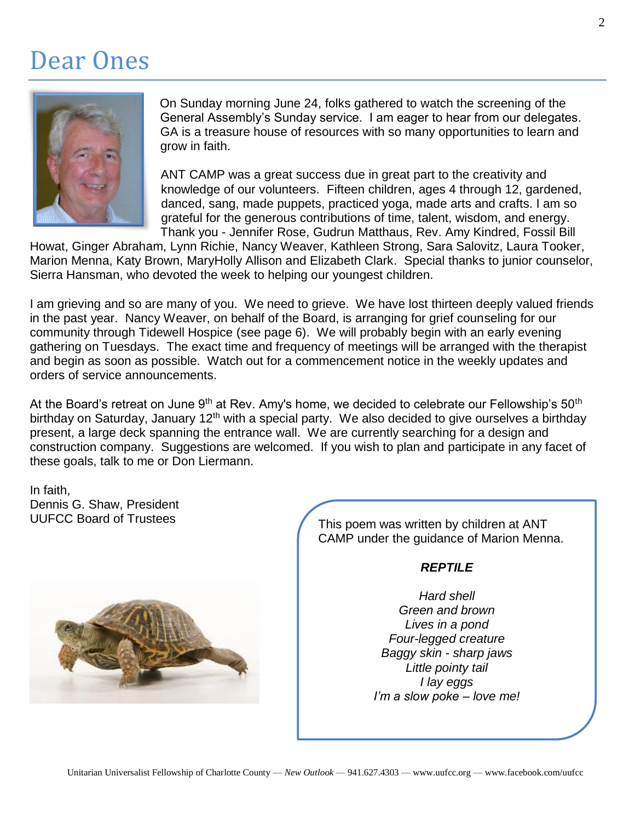### Dear Ones



On Sunday morning June 24, folks gathered to watch the screening of the General Assembly's Sunday service. I am eager to hear from our delegates. GA is a treasure house of resources with so many opportunities to learn and grow in faith.

ANT CAMP was a great success due in great part to the creativity and knowledge of our volunteers. Fifteen children, ages 4 through 12, gardened, danced, sang, made puppets, practiced yoga, made arts and crafts. I am so grateful for the generous contributions of time, talent, wisdom, and energy. Thank you - Jennifer Rose, Gudrun Matthaus, Rev. Amy Kindred, Fossil Bill

Howat, Ginger Abraham, Lynn Richie, Nancy Weaver, Kathleen Strong, Sara Salovitz, Laura Tooker, Marion Menna, Katy Brown, MaryHolly Allison and Elizabeth Clark. Special thanks to junior counselor, Sierra Hansman, who devoted the week to helping our youngest children.

I am grieving and so are many of you. We need to grieve. We have lost thirteen deeply valued friends in the past year. Nancy Weaver, on behalf of the Board, is arranging for grief counseling for our community through Tidewell Hospice (see page 6). We will probably begin with an early evening gathering on Tuesdays. The exact time and frequency of meetings will be arranged with the therapist and begin as soon as possible. Watch out for a commencement notice in the weekly updates and orders of service announcements.

At the Board's retreat on June 9<sup>th</sup> at Rev. Amy's home, we decided to celebrate our Fellowship's 50<sup>th</sup> birthday on Saturday, January 12<sup>th</sup> with a special party. We also decided to give ourselves a birthday present, a large deck spanning the entrance wall. We are currently searching for a design and construction company. Suggestions are welcomed. If you wish to plan and participate in any facet of these goals, talk to me or Don Liermann.

In faith, Dennis G. Shaw, President UUFCC Board of Trustees



This poem was written by children at ANT CAMP under the guidance of Marion Menna.

#### *REPTILE*

*Hard shell Green and brown Lives in a pond Four-legged creature Baggy skin - sharp jaws Little pointy tail I lay eggs I'm a slow poke – love me!*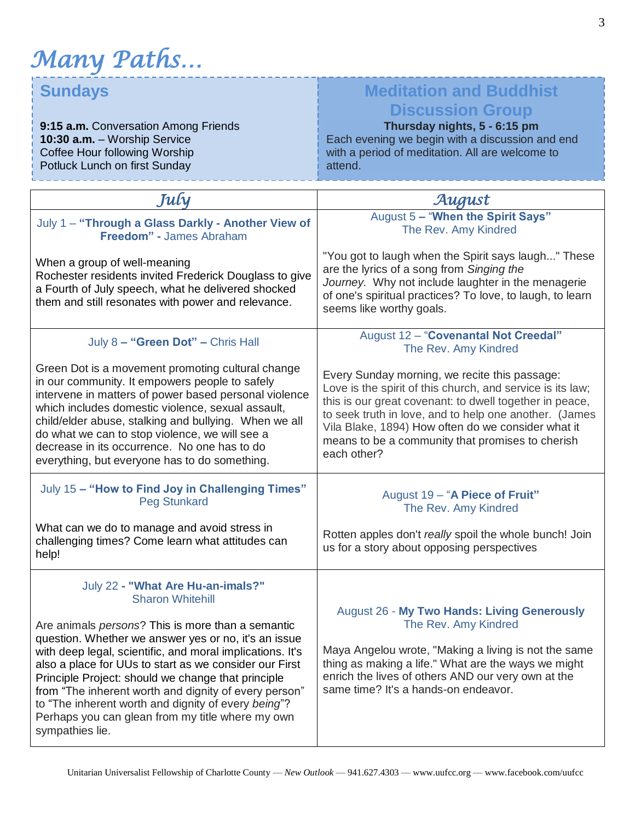*Many Paths…*

### **Sundays**

**9:15 a.m.** Conversation Among Friends **10:30 a.m.** – Worship Service Coffee Hour following Worship Potluck Lunch on first Sunday

#### **Meditation and Buddhist Discussion Group**

**Thursday nights, 5 - 6:15 pm** Each evening we begin with a discussion and end with a period of meditation. All are welcome to attend.

| July                                                                                                                                                                                                                                                                                                                                                                                                                                                                          | August                                                                                                                                                                                                                                                                                                                                                    |
|-------------------------------------------------------------------------------------------------------------------------------------------------------------------------------------------------------------------------------------------------------------------------------------------------------------------------------------------------------------------------------------------------------------------------------------------------------------------------------|-----------------------------------------------------------------------------------------------------------------------------------------------------------------------------------------------------------------------------------------------------------------------------------------------------------------------------------------------------------|
| July 1 - "Through a Glass Darkly - Another View of<br>Freedom" - James Abraham                                                                                                                                                                                                                                                                                                                                                                                                | August 5 - "When the Spirit Says"<br>The Rev. Amy Kindred                                                                                                                                                                                                                                                                                                 |
| When a group of well-meaning<br>Rochester residents invited Frederick Douglass to give<br>a Fourth of July speech, what he delivered shocked<br>them and still resonates with power and relevance.                                                                                                                                                                                                                                                                            | "You got to laugh when the Spirit says laugh" These<br>are the lyrics of a song from Singing the<br>Journey. Why not include laughter in the menagerie<br>of one's spiritual practices? To love, to laugh, to learn<br>seems like worthy goals.                                                                                                           |
| July 8 - "Green Dot" - Chris Hall                                                                                                                                                                                                                                                                                                                                                                                                                                             | August 12 - "Covenantal Not Creedal"<br>The Rev. Amy Kindred                                                                                                                                                                                                                                                                                              |
| Green Dot is a movement promoting cultural change<br>in our community. It empowers people to safely<br>intervene in matters of power based personal violence<br>which includes domestic violence, sexual assault,<br>child/elder abuse, stalking and bullying. When we all<br>do what we can to stop violence, we will see a<br>decrease in its occurrence. No one has to do<br>everything, but everyone has to do something.                                                 | Every Sunday morning, we recite this passage:<br>Love is the spirit of this church, and service is its law;<br>this is our great covenant: to dwell together in peace,<br>to seek truth in love, and to help one another. (James<br>Vila Blake, 1894) How often do we consider what it<br>means to be a community that promises to cherish<br>each other? |
| July 15 - "How to Find Joy in Challenging Times"<br><b>Peg Stunkard</b>                                                                                                                                                                                                                                                                                                                                                                                                       | August 19 - "A Piece of Fruit"<br>The Rev. Amy Kindred                                                                                                                                                                                                                                                                                                    |
| What can we do to manage and avoid stress in<br>challenging times? Come learn what attitudes can<br>help!                                                                                                                                                                                                                                                                                                                                                                     | Rotten apples don't really spoil the whole bunch! Join<br>us for a story about opposing perspectives                                                                                                                                                                                                                                                      |
| July 22 - "What Are Hu-an-imals?"<br><b>Sharon Whitehill</b>                                                                                                                                                                                                                                                                                                                                                                                                                  | <b>August 26 - My Two Hands: Living Generously</b>                                                                                                                                                                                                                                                                                                        |
| Are animals persons? This is more than a semantic<br>question. Whether we answer yes or no, it's an issue<br>with deep legal, scientific, and moral implications. It's<br>also a place for UUs to start as we consider our First<br>Principle Project: should we change that principle<br>from "The inherent worth and dignity of every person"<br>to "The inherent worth and dignity of every being"?<br>Perhaps you can glean from my title where my own<br>sympathies lie. | The Rev. Amy Kindred<br>Maya Angelou wrote, "Making a living is not the same<br>thing as making a life." What are the ways we might<br>enrich the lives of others AND our very own at the<br>same time? It's a hands-on endeavor.                                                                                                                         |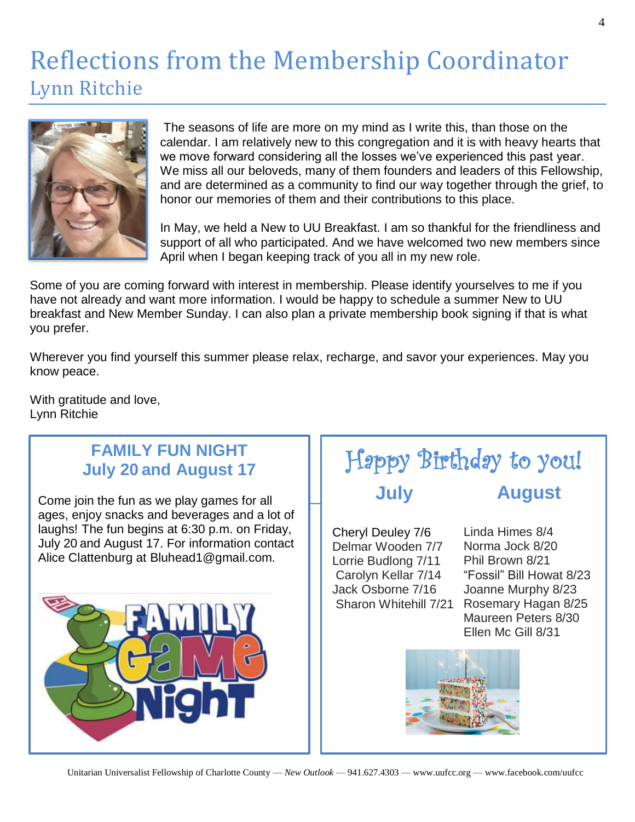### Reflections from the Membership Coordinator Lynn Ritchie



The seasons of life are more on my mind as I write this, than those on the calendar. I am relatively new to this congregation and it is with heavy hearts that we move forward considering all the losses we've experienced this past year. We miss all our beloveds, many of them founders and leaders of this Fellowship, and are determined as a community to find our way together through the grief, to honor our memories of them and their contributions to this place.

In May, we held a New to UU Breakfast. I am so thankful for the friendliness and support of all who participated. And we have welcomed two new members since April when I began keeping track of you all in my new role.

Some of you are coming forward with interest in membership. Please identify yourselves to me if you have not already and want more information. I would be happy to schedule a summer New to UU breakfast and New Member Sunday. I can also plan a private membership book signing if that is what you prefer.

Wherever you find yourself this summer please relax, recharge, and savor your experiences. May you know peace.

With gratitude and love, Lynn Ritchie

#### **FAMILY FUN NIGHT July 20 and August 17**

Come join the fun as we play games for all ages, enjoy snacks and beverages and a lot of laughs! The fun begins at 6:30 p.m. on Friday, July 20 and August 17. For information contact Alice Clattenburg at Bluhead1@gmail.com.



#### Happy Birthday to you! **July August**

Cheryl Deuley 7/6 Delmar Wooden 7/7 Lorrie Budlong 7/11 Carolyn Kellar 7/14 Jack Osborne 7/16 Sharon Whitehill 7/21

Linda Himes 8/4 Norma Jock 8/20 Phil Brown 8/21 "Fossil" Bill Howat 8/23 Joanne Murphy 8/23 Rosemary Hagan 8/25 Maureen Peters 8/30 Ellen Mc Gill 8/31

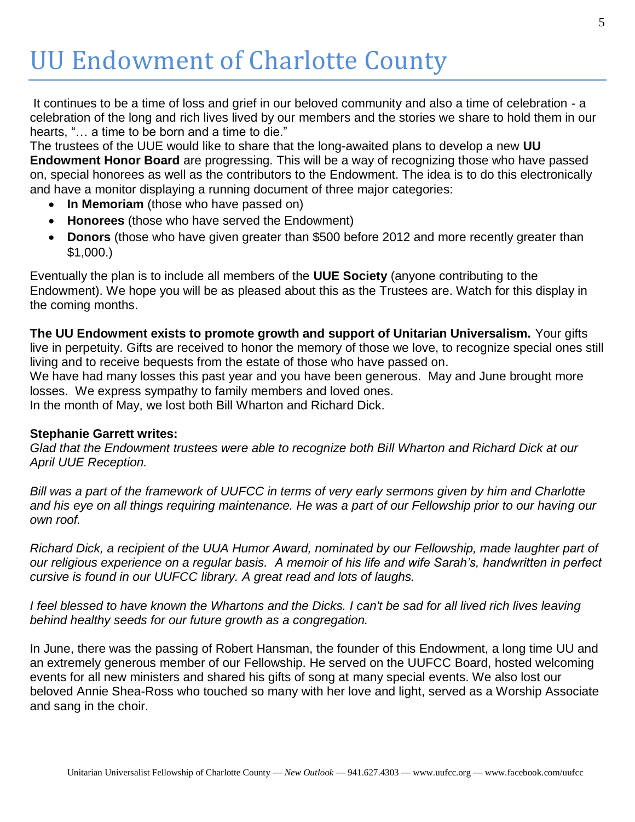# UU Endowment of Charlotte County

It continues to be a time of loss and grief in our beloved community and also a time of celebration - a celebration of the long and rich lives lived by our members and the stories we share to hold them in our hearts, "... a time to be born and a time to die."

The trustees of the UUE would like to share that the long-awaited plans to develop a new **UU Endowment Honor Board** are progressing. This will be a way of recognizing those who have passed on, special honorees as well as the contributors to the Endowment. The idea is to do this electronically

and have a monitor displaying a running document of three major categories:

- **In Memoriam** (those who have passed on)
- **Honorees** (those who have served the Endowment)
- **Donors** (those who have given greater than \$500 before 2012 and more recently greater than \$1,000.)

Eventually the plan is to include all members of the **UUE Society** (anyone contributing to the Endowment). We hope you will be as pleased about this as the Trustees are. Watch for this display in the coming months.

**The UU Endowment exists to promote growth and support of Unitarian Universalism.** Your gifts live in perpetuity. Gifts are received to honor the memory of those we love, to recognize special ones still living and to receive bequests from the estate of those who have passed on.

We have had many losses this past year and you have been generous. May and June brought more losses. We express sympathy to family members and loved ones.

In the month of May, we lost both Bill Wharton and Richard Dick.

#### **Stephanie Garrett writes:**

*Glad that the Endowment trustees were able to recognize both Bill Wharton and Richard Dick at our April UUE Reception.*

*Bill was a part of the framework of UUFCC in terms of very early sermons given by him and Charlotte*  and his eye on all things requiring maintenance. He was a part of our Fellowship prior to our having our *own roof.* 

*Richard Dick, a recipient of the UUA Humor Award, nominated by our Fellowship, made laughter part of our religious experience on a regular basis. A memoir of his life and wife Sarah's, handwritten in perfect cursive is found in our UUFCC library. A great read and lots of laughs.*

*I feel blessed to have known the Whartons and the Dicks. I can't be sad for all lived rich lives leaving behind healthy seeds for our future growth as a congregation.*

In June, there was the passing of Robert Hansman, the founder of this Endowment, a long time UU and an extremely generous member of our Fellowship. He served on the UUFCC Board, hosted welcoming events for all new ministers and shared his gifts of song at many special events. We also lost our beloved Annie Shea-Ross who touched so many with her love and light, served as a Worship Associate and sang in the choir.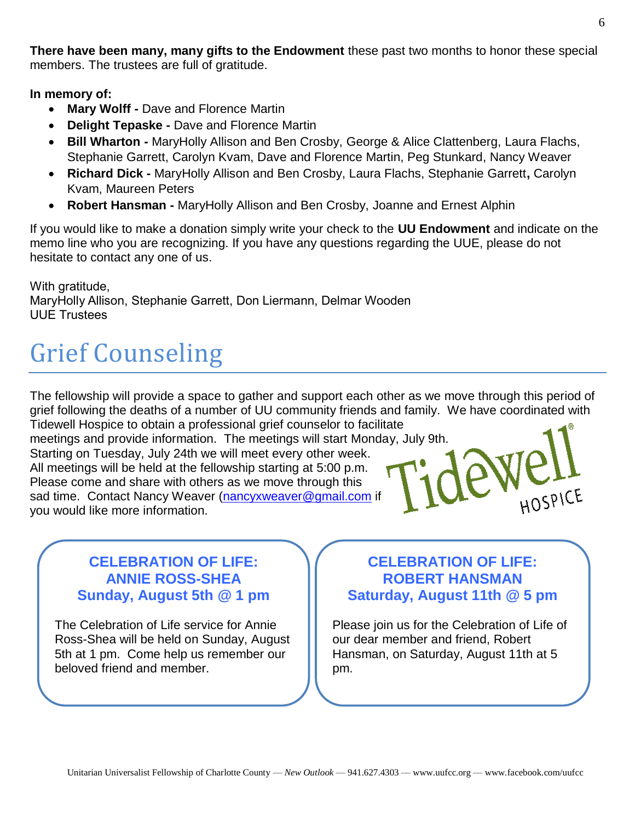**There have been many, many gifts to the Endowment** these past two months to honor these special members. The trustees are full of gratitude.

**In memory of:** 

- **Mary Wolff -** Dave and Florence Martin
- **Delight Tepaske -** Dave and Florence Martin
- **Bill Wharton -** MaryHolly Allison and Ben Crosby, George & Alice Clattenberg, Laura Flachs, Stephanie Garrett, Carolyn Kvam, Dave and Florence Martin, Peg Stunkard, Nancy Weaver
- **Richard Dick -** MaryHolly Allison and Ben Crosby, Laura Flachs, Stephanie Garrett**,** Carolyn Kvam, Maureen Peters
- **Robert Hansman -** MaryHolly Allison and Ben Crosby, Joanne and Ernest Alphin

If you would like to make a donation simply write your check to the **UU Endowment** and indicate on the memo line who you are recognizing. If you have any questions regarding the UUE, please do not hesitate to contact any one of us.

With gratitude, MaryHolly Allison, Stephanie Garrett, Don Liermann, Delmar Wooden UUE Trustees

# Grief Counseling

The fellowship will provide a space to gather and support each other as we move through this period of grief following the deaths of a number of UU community friends and family. We have coordinated with Tidewell Hospice to obtain a professional grief counselor to facilitate

meetings and provide information. The meetings will start Monday, July 9th. Starting on Tuesday, July 24th we will meet every other week. All meetings will be held at the fellowship starting at 5:00 p.m. Please come and share with others as we move through this sad time. Contact Nancy Weaver [\(nancyxweaver@gmail.com](mailto:nancyxweaver@gmail.com) if you would like more information.

#### **CELEBRATION OF LIFE: ANNIE ROSS-SHEA Sunday, August 5th @ 1 pm**

The Celebration of Life service for Annie Ross-Shea will be held on Sunday, August 5th at 1 pm. Come help us remember our beloved friend and member.

#### **CELEBRATION OF LIFE: ROBERT HANSMAN Saturday, August 11th @ 5 pm**

HOSPICE

Please join us for the Celebration of Life of our dear member and friend, Robert Hansman, on Saturday, August 11th at 5 pm.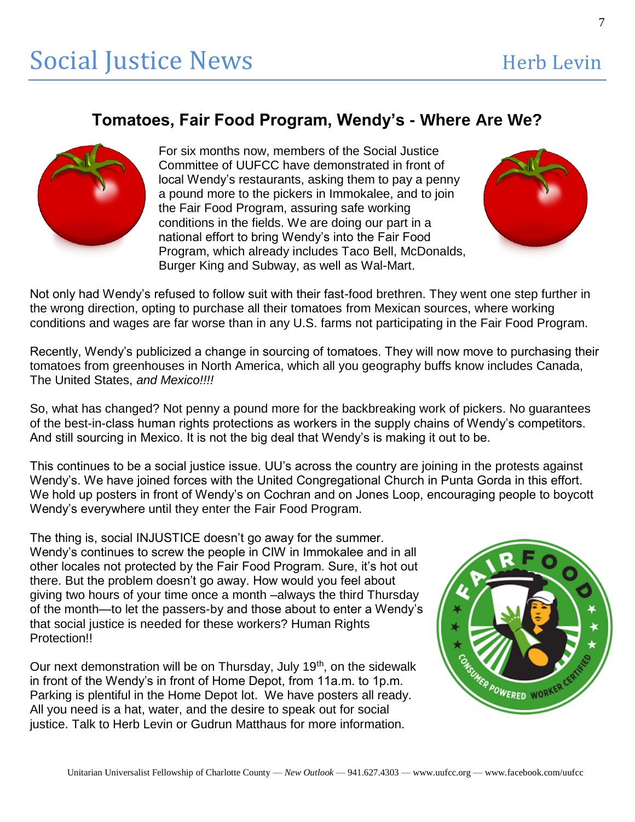#### **Tomatoes, Fair Food Program, Wendy's - Where Are We?**



For six months now, members of the Social Justice Committee of UUFCC have demonstrated in front of local Wendy's restaurants, asking them to pay a penny a pound more to the pickers in Immokalee, and to join the Fair Food Program, assuring safe working conditions in the fields. We are doing our part in a national effort to bring Wendy's into the Fair Food Program, which already includes Taco Bell, McDonalds, Burger King and Subway, as well as Wal-Mart.



Not only had Wendy's refused to follow suit with their fast-food brethren. They went one step further in the wrong direction, opting to purchase all their tomatoes from Mexican sources, where working conditions and wages are far worse than in any U.S. farms not participating in the Fair Food Program.

Recently, Wendy's publicized a change in sourcing of tomatoes. They will now move to purchasing their tomatoes from greenhouses in North America, which all you geography buffs know includes Canada, The United States, *and Mexico!!!!*

So, what has changed? Not penny a pound more for the backbreaking work of pickers. No guarantees of the best-in-class human rights protections as workers in the supply chains of Wendy's competitors. And still sourcing in Mexico. It is not the big deal that Wendy's is making it out to be.

This continues to be a social justice issue. UU's across the country are joining in the protests against Wendy's. We have joined forces with the United Congregational Church in Punta Gorda in this effort. We hold up posters in front of Wendy's on Cochran and on Jones Loop, encouraging people to boycott Wendy's everywhere until they enter the Fair Food Program.

The thing is, social INJUSTICE doesn't go away for the summer. Wendy's continues to screw the people in CIW in Immokalee and in all other locales not protected by the Fair Food Program. Sure, it's hot out there. But the problem doesn't go away. How would you feel about giving two hours of your time once a month –always the third Thursday of the month—to let the passers-by and those about to enter a Wendy's that social justice is needed for these workers? Human Rights Protection!!

Our next demonstration will be on Thursday, July 19<sup>th</sup>, on the sidewalk in front of the Wendy's in front of Home Depot, from 11a.m. to 1p.m. Parking is plentiful in the Home Depot lot. We have posters all ready. All you need is a hat, water, and the desire to speak out for social justice. Talk to Herb Levin or Gudrun Matthaus for more information.

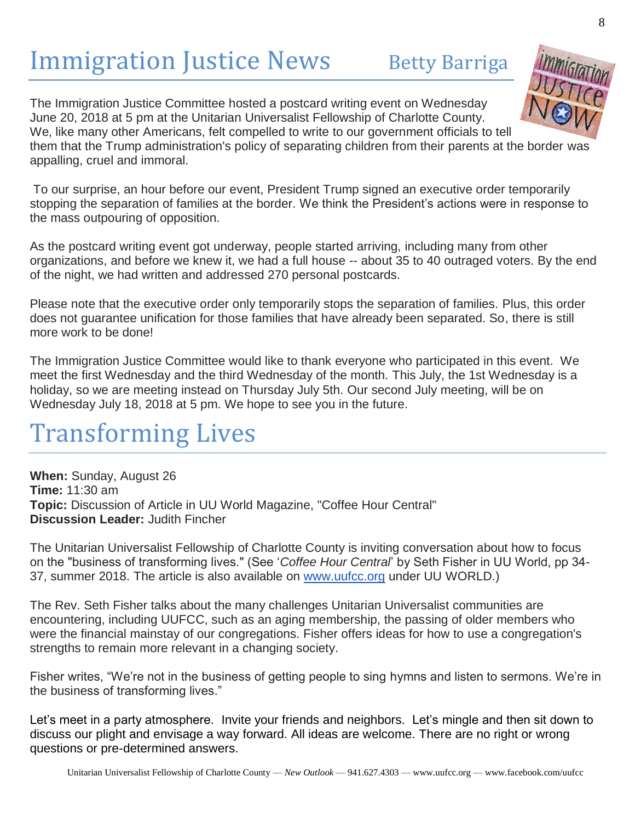# Immigration Justice News Betty Barriga

The Immigration Justice Committee hosted a postcard writing event on Wednesday June 20, 2018 at 5 pm at the Unitarian Universalist Fellowship of Charlotte County. We, like many other Americans, felt compelled to write to our government officials to tell them that the Trump administration's policy of separating children from their parents at the border was appalling, cruel and immoral.

To our surprise, an hour before our event, President Trump signed an executive order temporarily stopping the separation of families at the border. We think the President's actions were in response to the mass outpouring of opposition.

As the postcard writing event got underway, people started arriving, including many from other organizations, and before we knew it, we had a full house -- about 35 to 40 outraged voters. By the end of the night, we had written and addressed 270 personal postcards.

Please note that the executive order only temporarily stops the separation of families. Plus, this order does not guarantee unification for those families that have already been separated. So, there is still more work to be done!

The Immigration Justice Committee would like to thank everyone who participated in this event. We meet the first Wednesday and the third Wednesday of the month. This July, the 1st Wednesday is a holiday, so we are meeting instead on Thursday July 5th. Our second July meeting, will be on Wednesday July 18, 2018 at 5 pm. We hope to see you in the future.

## Transforming Lives

**When:** Sunday, August 26 **Time:** 11:30 am **Topic:** Discussion of Article in UU World Magazine, "Coffee Hour Central" **Discussion Leader:** Judith Fincher

The Unitarian Universalist Fellowship of Charlotte County is inviting conversation about how to focus on the "business of transforming lives." (See '*Coffee Hour Central*' by Seth Fisher in UU World, pp 34 37, summer 2018. The article is also available on [www.uufcc.org](http://www.uufcc.org/) under UU WORLD.)

The Rev. Seth Fisher talks about the many challenges Unitarian Universalist communities are encountering, including UUFCC, such as an aging membership, the passing of older members who were the financial mainstay of our congregations. Fisher offers ideas for how to use a congregation's strengths to remain more relevant in a changing society.

Fisher writes, "We're not in the business of getting people to sing hymns and listen to sermons. We're in the business of transforming lives."

Let's meet in a party atmosphere. Invite your friends and neighbors. Let's mingle and then sit down to discuss our plight and envisage a way forward. All ideas are welcome. There are no right or wrong questions or pre-determined answers.

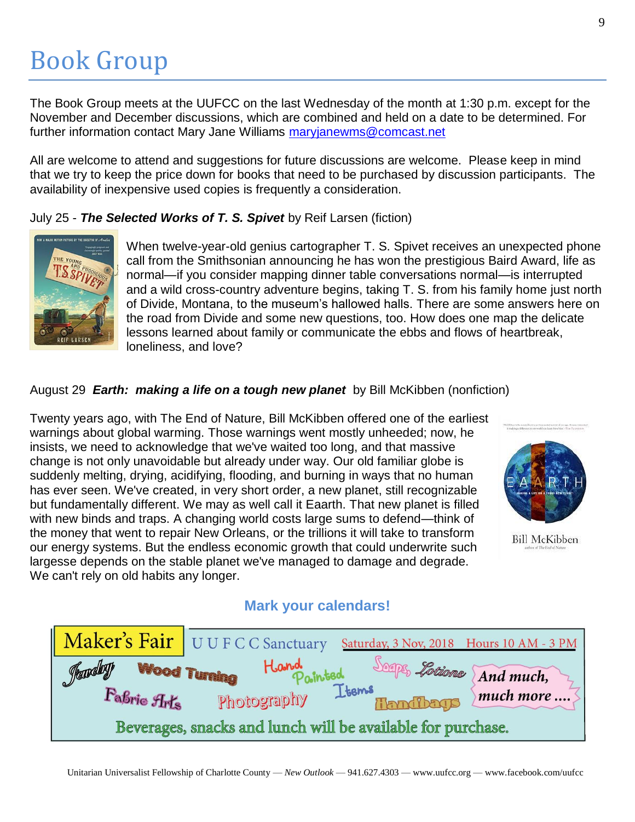# Book Group

The Book Group meets at the UUFCC on the last Wednesday of the month at 1:30 p.m. except for the November and December discussions, which are combined and held on a date to be determined. For further information contact Mary Jane Williams [maryjanewms@comcast.net](mailto:maryjanewms@comcast.net)

All are welcome to attend and suggestions for future discussions are welcome. Please keep in mind that we try to keep the price down for books that need to be purchased by discussion participants. The availability of inexpensive used copies is frequently a consideration.

July 25 - *The Selected Works of T. S. Spivet* by Reif Larsen (fiction)



When twelve-year-old genius cartographer T. S. Spivet receives an unexpected phone call from the Smithsonian announcing he has won the prestigious Baird Award, life as normal—if you consider mapping dinner table conversations normal—is interrupted and a wild cross-country adventure begins, taking T. S. from his family home just north of Divide, Montana, to the museum's hallowed halls. There are some answers here on the road from Divide and some new questions, too. How does one map the delicate lessons learned about family or communicate the ebbs and flows of heartbreak, loneliness, and love?

#### August 29 *Earth: making a life on a tough new planet* by Bill McKibben (nonfiction)

Twenty years ago, with The End of Nature, Bill McKibben offered one of the earliest warnings about global warming. Those warnings went mostly unheeded; now, he insists, we need to acknowledge that we've waited too long, and that massive change is not only unavoidable but already under way. Our old familiar globe is suddenly melting, drying, acidifying, flooding, and burning in ways that no human has ever seen. We've created, in very short order, a new planet, still recognizable but fundamentally different. We may as well call it Eaarth. That new planet is filled with new binds and traps. A changing world costs large sums to defend—think of the money that went to repair New Orleans, or the trillions it will take to transform our energy systems. But the endless economic growth that could underwrite such largesse depends on the stable planet we've managed to damage and degrade. We can't rely on old habits any longer.



#### **Bill McKibben**

#### **Mark your calendars!**